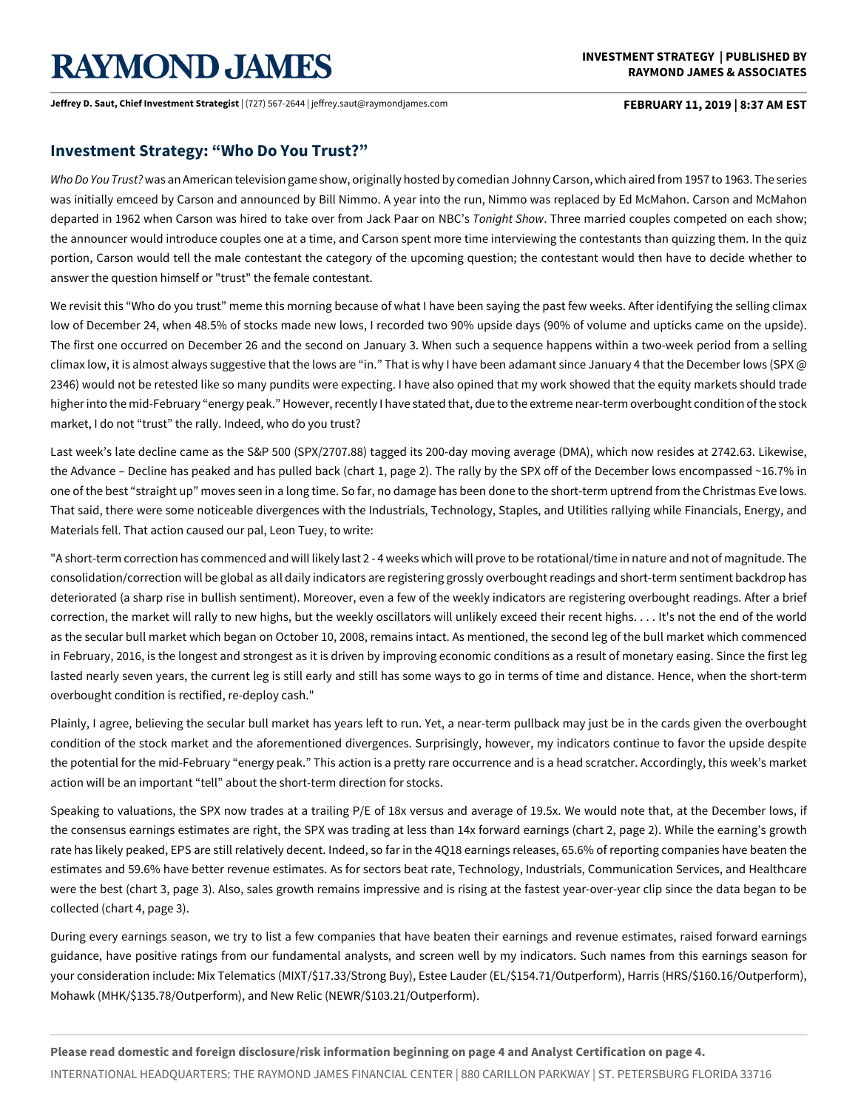# **RAYMOND JAMES**

**Jeffrey D. Saut, Chief Investment Strategist** | (727) 567-2644 | jeffrey.saut@raymondjames.com **FEBRUARY 11, 2019 | 8:37 AM EST**

### **Investment Strategy: "Who Do You Trust?"**

*WhoDoYouTrust?* was an American television game show, originally hosted by comedian Johnny Carson, which aired from 1957 to 1963. The series was initially emceed by Carson and announced by Bill Nimmo. A year into the run, Nimmo was replaced by Ed McMahon. Carson and McMahon departed in 1962 when Carson was hired to take over from Jack Paar on NBC's *Tonight Show*. Three married couples competed on each show; the announcer would introduce couples one at a time, and Carson spent more time interviewing the contestants than quizzing them. In the quiz portion, Carson would tell the male contestant the category of the upcoming question; the contestant would then have to decide whether to answer the question himself or "trust" the female contestant.

We revisit this "Who do you trust" meme this morning because of what I have been saying the past few weeks. After identifying the selling climax low of December 24, when 48.5% of stocks made new lows, I recorded two 90% upside days (90% of volume and upticks came on the upside). The first one occurred on December 26 and the second on January 3. When such a sequence happens within a two-week period from a selling climax low, it is almost always suggestive that the lows are "in." That is why I have been adamant since January 4 that the December lows (SPX  $@$ 2346) would not be retested like so many pundits were expecting. I have also opined that my work showed that the equity markets should trade higher into the mid-February "energy peak." However, recently I have stated that, due to the extreme near-term overbought condition of the stock market, I do not "trust" the rally. Indeed, who do you trust?

Last week's late decline came as the S&P 500 (SPX/2707.88) tagged its 200-day moving average (DMA), which now resides at 2742.63. Likewise, the Advance – Decline has peaked and has pulled back (chart 1, page 2). The rally by the SPX off of the December lows encompassed ~16.7% in one of the best "straight up" moves seen in a long time. So far, no damage has been done to the short-term uptrend from the Christmas Eve lows. That said, there were some noticeable divergences with the Industrials, Technology, Staples, and Utilities rallying while Financials, Energy, and Materials fell. That action caused our pal, Leon Tuey, to write:

"A short-term correction has commenced and will likely last 2 - 4 weeks which will prove to be rotational/time in nature and not of magnitude. The consolidation/correction will be global as all daily indicators are registering grossly overbought readings and short-term sentiment backdrop has deteriorated (a sharp rise in bullish sentiment). Moreover, even a few of the weekly indicators are registering overbought readings. After a brief correction, the market will rally to new highs, but the weekly oscillators will unlikely exceed their recent highs. . . . It's not the end of the world as the secular bull market which began on October 10, 2008, remains intact. As mentioned, the second leg of the bull market which commenced in February, 2016, is the longest and strongest as it is driven by improving economic conditions as a result of monetary easing. Since the first leg lasted nearly seven years, the current leg is still early and still has some ways to go in terms of time and distance. Hence, when the short-term overbought condition is rectified, re-deploy cash."

Plainly, I agree, believing the secular bull market has years left to run. Yet, a near-term pullback may just be in the cards given the overbought condition of the stock market and the aforementioned divergences. Surprisingly, however, my indicators continue to favor the upside despite the potential for the mid-February "energy peak." This action is a pretty rare occurrence and is a head scratcher. Accordingly, this week's market action will be an important "tell" about the short-term direction for stocks.

Speaking to valuations, the SPX now trades at a trailing P/E of 18x versus and average of 19.5x. We would note that, at the December lows, if the consensus earnings estimates are right, the SPX was trading at less than 14x forward earnings (chart 2, page 2). While the earning's growth rate has likely peaked, EPS are still relatively decent. Indeed, so far in the 4Q18 earnings releases, 65.6% of reporting companies have beaten the estimates and 59.6% have better revenue estimates. As for sectors beat rate, Technology, Industrials, Communication Services, and Healthcare were the best (chart 3, page 3). Also, sales growth remains impressive and is rising at the fastest year-over-year clip since the data began to be collected (chart 4, page 3).

During every earnings season, we try to list a few companies that have beaten their earnings and revenue estimates, raised forward earnings guidance, have positive ratings from our fundamental analysts, and screen well by my indicators. Such names from this earnings season for your consideration include: Mix Telematics (MIXT/\$17.33/Strong Buy), Estee Lauder (EL/\$154.71/Outperform), Harris (HRS/\$160.16/Outperform), Mohawk (MHK/\$135.78/Outperform), and New Relic (NEWR/\$103.21/Outperform).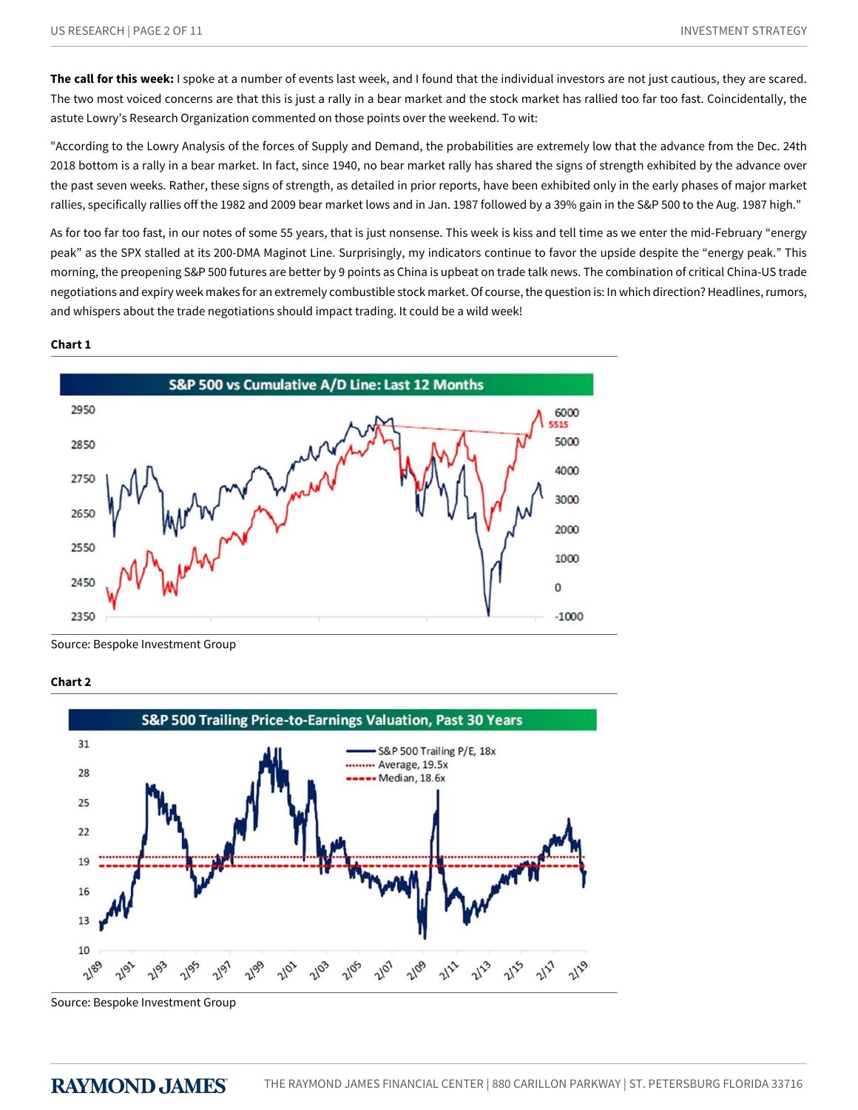**The call for this week:** I spoke at a number of events last week, and I found that the individual investors are not just cautious, they are scared. The two most voiced concerns are that this is just a rally in a bear market and the stock market has rallied too far too fast. Coincidentally, the astute Lowry's Research Organization commented on those points over the weekend. To wit:

"According to the Lowry Analysis of the forces of Supply and Demand, the probabilities are extremely low that the advance from the Dec. 24th 2018 bottom is a rally in a bear market. In fact, since 1940, no bear market rally has shared the signs of strength exhibited by the advance over the past seven weeks. Rather, these signs of strength, as detailed in prior reports, have been exhibited only in the early phases of major market rallies, specifically rallies off the 1982 and 2009 bear market lows and in Jan. 1987 followed by a 39% gain in the S&P 500 to the Aug. 1987 high."

As for too far too fast, in our notes of some 55 years, that is just nonsense. This week is kiss and tell time as we enter the mid-February "energy peak" as the SPX stalled at its 200-DMA Maginot Line. Surprisingly, my indicators continue to favor the upside despite the "energy peak." This morning, the preopening S&P 500 futures are better by 9 points as China is upbeat on trade talk news. The combination of critical China-US trade negotiations and expiry week makes for an extremely combustible stock market. Of course, the question is: In which direction? Headlines, rumors, and whispers about the trade negotiations should impact trading. It could be a wild week!

#### **Chart 1**



Source: Bespoke Investment Group





Source: Bespoke Investment Group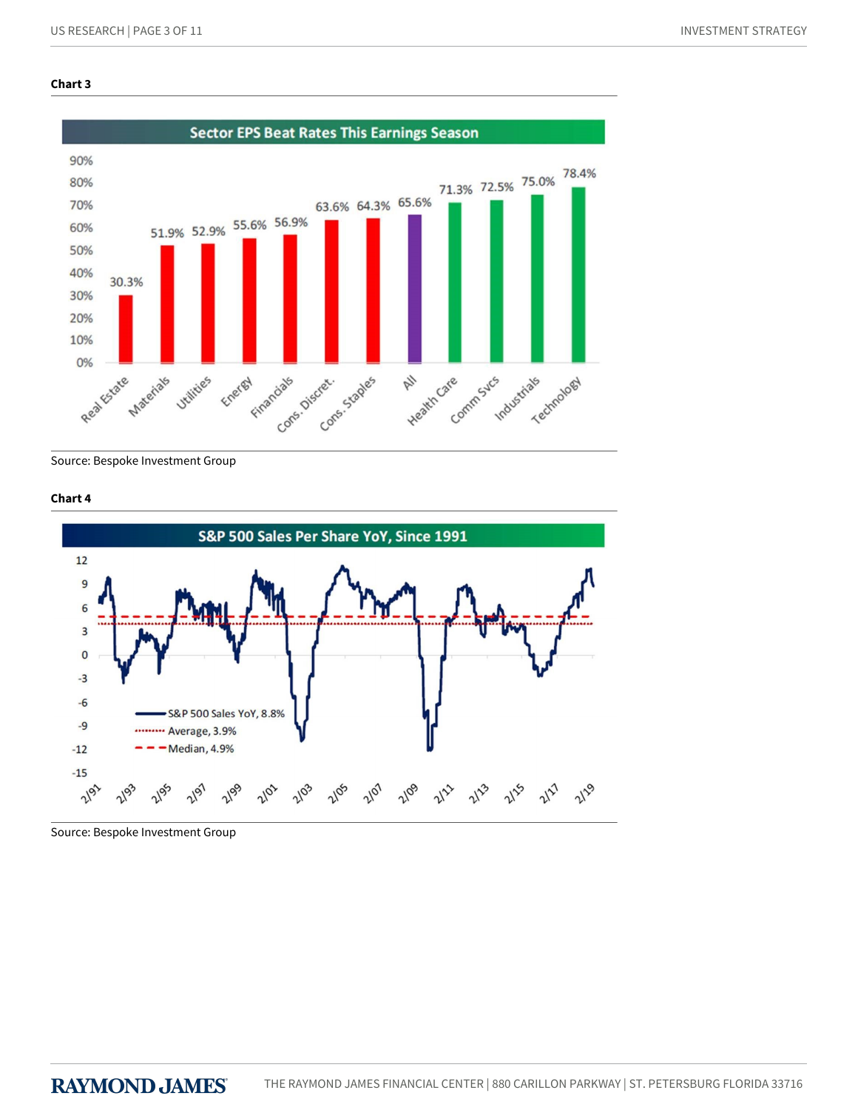#### **Chart 3**



Source: Bespoke Investment Group

#### **Chart 4**



Source: Bespoke Investment Group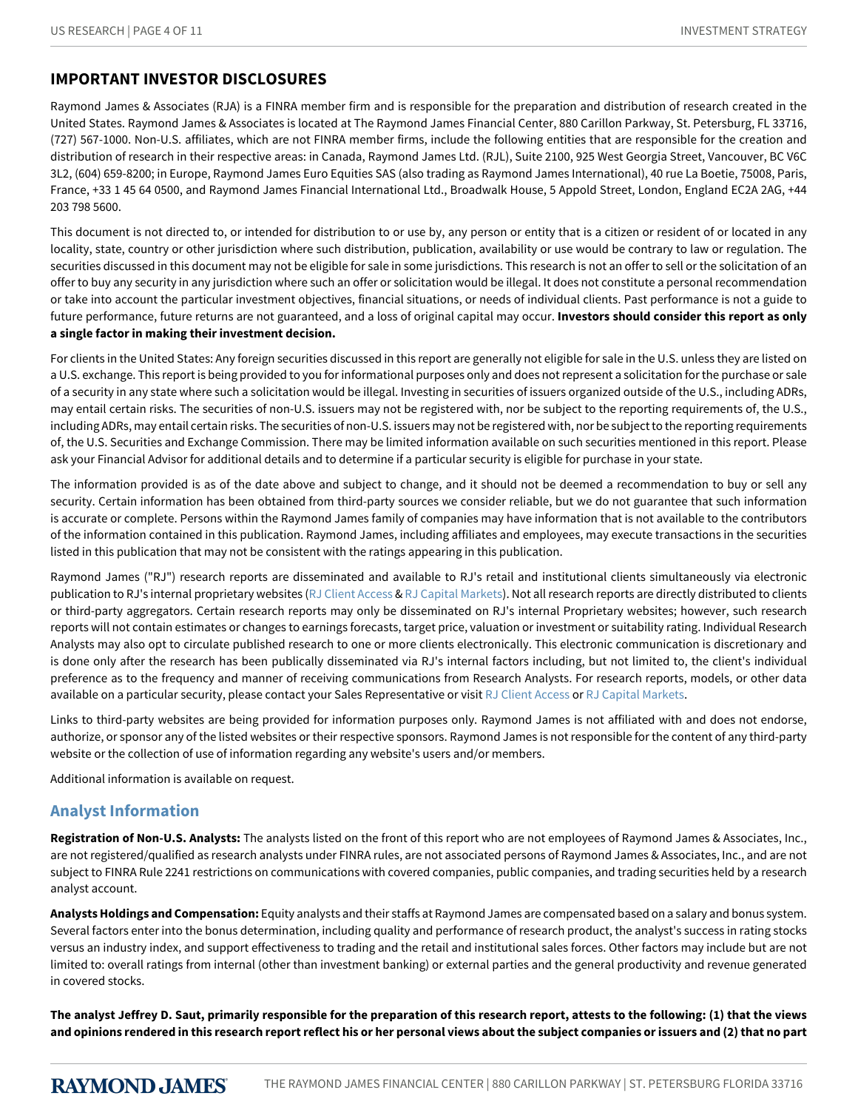# **IMPORTANT INVESTOR DISCLOSURES**

Raymond James & Associates (RJA) is a FINRA member firm and is responsible for the preparation and distribution of research created in the United States. Raymond James & Associates is located at The Raymond James Financial Center, 880 Carillon Parkway, St. Petersburg, FL 33716, (727) 567-1000. Non-U.S. affiliates, which are not FINRA member firms, include the following entities that are responsible for the creation and distribution of research in their respective areas: in Canada, Raymond James Ltd. (RJL), Suite 2100, 925 West Georgia Street, Vancouver, BC V6C 3L2, (604) 659-8200; in Europe, Raymond James Euro Equities SAS (also trading as Raymond James International), 40 rue La Boetie, 75008, Paris, France, +33 1 45 64 0500, and Raymond James Financial International Ltd., Broadwalk House, 5 Appold Street, London, England EC2A 2AG, +44 203 798 5600.

This document is not directed to, or intended for distribution to or use by, any person or entity that is a citizen or resident of or located in any locality, state, country or other jurisdiction where such distribution, publication, availability or use would be contrary to law or regulation. The securities discussed in this document may not be eligible for sale in some jurisdictions. This research is not an offer to sell or the solicitation of an offer to buy any security in any jurisdiction where such an offer or solicitation would be illegal. It does not constitute a personal recommendation or take into account the particular investment objectives, financial situations, or needs of individual clients. Past performance is not a guide to future performance, future returns are not guaranteed, and a loss of original capital may occur. **Investors should consider this report as only a single factor in making their investment decision.**

For clients in the United States: Any foreign securities discussed in this report are generally not eligible for sale in the U.S. unless they are listed on a U.S. exchange. This report is being provided to you for informational purposes only and does not represent a solicitation for the purchase or sale of a security in any state where such a solicitation would be illegal. Investing in securities of issuers organized outside of the U.S., including ADRs, may entail certain risks. The securities of non-U.S. issuers may not be registered with, nor be subject to the reporting requirements of, the U.S., including ADRs, may entail certain risks. The securities of non-U.S. issuers may not be registered with, nor be subject to the reporting requirements of, the U.S. Securities and Exchange Commission. There may be limited information available on such securities mentioned in this report. Please ask your Financial Advisor for additional details and to determine if a particular security is eligible for purchase in your state.

The information provided is as of the date above and subject to change, and it should not be deemed a recommendation to buy or sell any security. Certain information has been obtained from third-party sources we consider reliable, but we do not guarantee that such information is accurate or complete. Persons within the Raymond James family of companies may have information that is not available to the contributors of the information contained in this publication. Raymond James, including affiliates and employees, may execute transactions in the securities listed in this publication that may not be consistent with the ratings appearing in this publication.

Raymond James ("RJ") research reports are disseminated and available to RJ's retail and institutional clients simultaneously via electronic publication to RJ's internal proprietary websites [\(RJ Client Access](https://clientaccess.rjf.com/) & [RJ Capital Markets\)](http://www.rjcapitalmarkets.com/Logon/Index). Not all research reports are directly distributed to clients or third-party aggregators. Certain research reports may only be disseminated on RJ's internal Proprietary websites; however, such research reports will not contain estimates or changes to earnings forecasts, target price, valuation or investment or suitability rating. Individual Research Analysts may also opt to circulate published research to one or more clients electronically. This electronic communication is discretionary and is done only after the research has been publically disseminated via RJ's internal factors including, but not limited to, the client's individual preference as to the frequency and manner of receiving communications from Research Analysts. For research reports, models, or other data available on a particular security, please contact your Sales Representative or visit [RJ Client Access](https://clientaccess.rjf.com/) or [RJ Capital Markets](http://www.rjcapitalmarkets.com/Logon/Index).

Links to third-party websites are being provided for information purposes only. Raymond James is not affiliated with and does not endorse, authorize, or sponsor any of the listed websites or their respective sponsors. Raymond James is not responsible for the content of any third-party website or the collection of use of information regarding any website's users and/or members.

Additional information is available on request.

## **Analyst Information**

**Registration of Non-U.S. Analysts:** The analysts listed on the front of this report who are not employees of Raymond James & Associates, Inc., are not registered/qualified as research analysts under FINRA rules, are not associated persons of Raymond James & Associates, Inc., and are not subject to FINRA Rule 2241 restrictions on communications with covered companies, public companies, and trading securities held by a research analyst account.

**Analysts Holdings and Compensation:** Equity analysts and their staffs at Raymond James are compensated based on a salary and bonus system. Several factors enter into the bonus determination, including quality and performance of research product, the analyst's success in rating stocks versus an industry index, and support effectiveness to trading and the retail and institutional sales forces. Other factors may include but are not limited to: overall ratings from internal (other than investment banking) or external parties and the general productivity and revenue generated in covered stocks.

**The analyst Jeffrey D. Saut, primarily responsible for the preparation of this research report, attests to the following: (1) that the views and opinions rendered in this research report reflect his or her personal views about the subject companies or issuers and (2) that no part**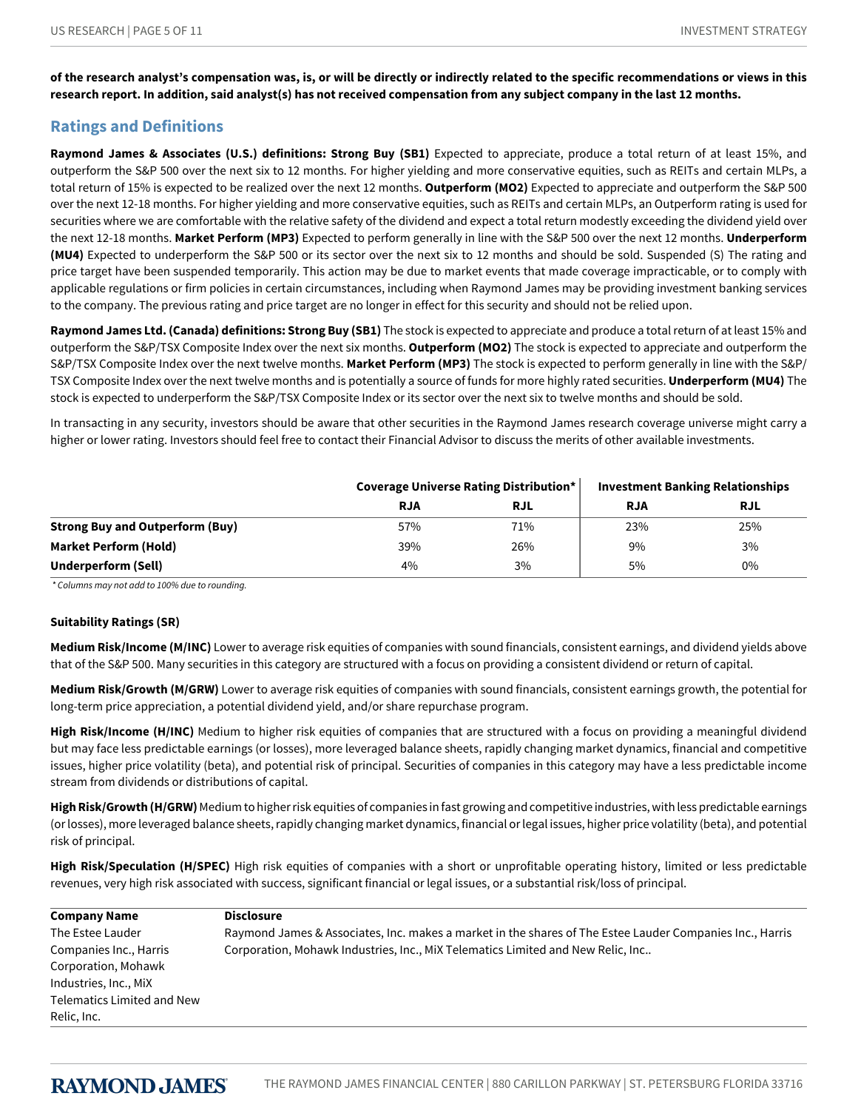**of the research analyst's compensation was, is, or will be directly or indirectly related to the specific recommendations or views in this research report. In addition, said analyst(s) has not received compensation from any subject company in the last 12 months.**

# **Ratings and Definitions**

**Raymond James & Associates (U.S.) definitions: Strong Buy (SB1)** Expected to appreciate, produce a total return of at least 15%, and outperform the S&P 500 over the next six to 12 months. For higher yielding and more conservative equities, such as REITs and certain MLPs, a total return of 15% is expected to be realized over the next 12 months. **Outperform (MO2)** Expected to appreciate and outperform the S&P 500 over the next 12-18 months. For higher yielding and more conservative equities, such as REITs and certain MLPs, an Outperform rating is used for securities where we are comfortable with the relative safety of the dividend and expect a total return modestly exceeding the dividend yield over the next 12-18 months. **Market Perform (MP3)** Expected to perform generally in line with the S&P 500 over the next 12 months. **Underperform (MU4)** Expected to underperform the S&P 500 or its sector over the next six to 12 months and should be sold. Suspended (S) The rating and price target have been suspended temporarily. This action may be due to market events that made coverage impracticable, or to comply with applicable regulations or firm policies in certain circumstances, including when Raymond James may be providing investment banking services to the company. The previous rating and price target are no longer in effect for this security and should not be relied upon.

**Raymond James Ltd. (Canada) definitions: Strong Buy (SB1)** The stock is expected to appreciate and produce a total return of at least 15% and outperform the S&P/TSX Composite Index over the next six months. **Outperform (MO2)** The stock is expected to appreciate and outperform the S&P/TSX Composite Index over the next twelve months. **Market Perform (MP3)** The stock is expected to perform generally in line with the S&P/ TSX Composite Index over the next twelve months and is potentially a source of funds for more highly rated securities. **Underperform (MU4)** The stock is expected to underperform the S&P/TSX Composite Index or its sector over the next six to twelve months and should be sold.

In transacting in any security, investors should be aware that other securities in the Raymond James research coverage universe might carry a higher or lower rating. Investors should feel free to contact their Financial Advisor to discuss the merits of other available investments.

|                                        | Coverage Universe Rating Distribution* |            | <b>Investment Banking Relationships</b> |            |
|----------------------------------------|----------------------------------------|------------|-----------------------------------------|------------|
|                                        | <b>RJA</b>                             | <b>RJL</b> | <b>RJA</b>                              | <b>RJL</b> |
| <b>Strong Buy and Outperform (Buy)</b> | 57%                                    | 71%        | 23%                                     | 25%        |
| <b>Market Perform (Hold)</b>           | 39%                                    | 26%        | 9%                                      | 3%         |
| Underperform (Sell)                    | 4%                                     | 3%         | 5%                                      | $0\%$      |

*\*Columnsmaynotaddto100%duetorounding.*

#### **Suitability Ratings (SR)**

**Medium Risk/Income (M/INC)** Lower to average risk equities of companies with sound financials, consistent earnings, and dividend yields above that of the S&P 500. Many securities in this category are structured with a focus on providing a consistent dividend or return of capital.

**Medium Risk/Growth (M/GRW)** Lower to average risk equities of companies with sound financials, consistent earnings growth, the potential for long-term price appreciation, a potential dividend yield, and/or share repurchase program.

High Risk/Income (H/INC) Medium to higher risk equities of companies that are structured with a focus on providing a meaningful dividend but may face less predictable earnings (or losses), more leveraged balance sheets, rapidly changing market dynamics, financial and competitive issues, higher price volatility (beta), and potential risk of principal. Securities of companies in this category may have a less predictable income stream from dividends or distributions of capital.

**High Risk/Growth (H/GRW)** Medium to higher risk equities of companies in fast growing and competitive industries, with less predictable earnings (or losses), more leveraged balance sheets, rapidly changing market dynamics, financial or legal issues, higher price volatility (beta), and potential risk of principal.

**High Risk/Speculation (H/SPEC)** High risk equities of companies with a short or unprofitable operating history, limited or less predictable revenues, very high risk associated with success, significant financial or legal issues, or a substantial risk/loss of principal.

| <b>Company Name</b>        | <b>Disclosure</b>                                                                                        |
|----------------------------|----------------------------------------------------------------------------------------------------------|
| The Estee Lauder           | Raymond James & Associates, Inc. makes a market in the shares of The Estee Lauder Companies Inc., Harris |
| Companies Inc., Harris     | Corporation, Mohawk Industries, Inc., MiX Telematics Limited and New Relic, Inc                          |
| Corporation, Mohawk        |                                                                                                          |
| Industries, Inc., MiX      |                                                                                                          |
| Telematics Limited and New |                                                                                                          |
| Relic, Inc.                |                                                                                                          |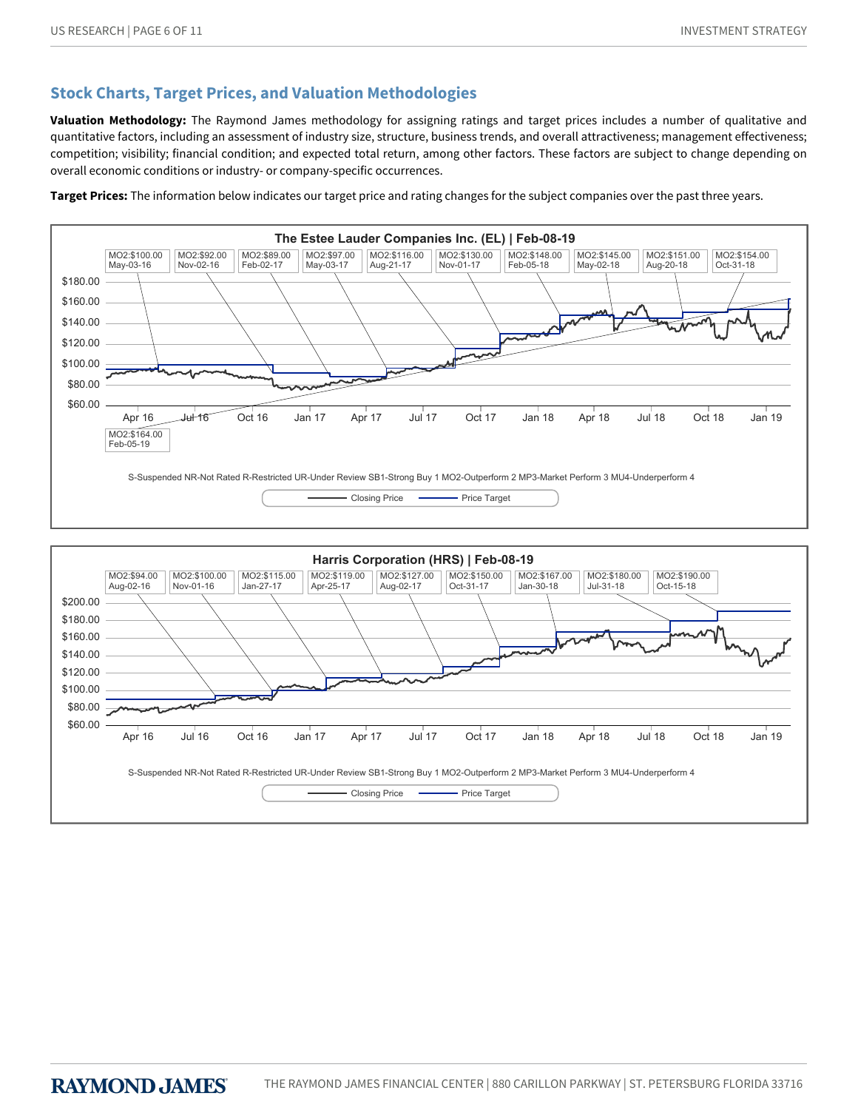# **Stock Charts, Target Prices, and Valuation Methodologies**

**Valuation Methodology:** The Raymond James methodology for assigning ratings and target prices includes a number of qualitative and quantitative factors, including an assessment of industry size, structure, business trends, and overall attractiveness; management effectiveness; competition; visibility; financial condition; and expected total return, among other factors. These factors are subject to change depending on overall economic conditions or industry- or company-specific occurrences.

**Target Prices:** The information below indicates our target price and rating changes for the subject companies over the past three years.



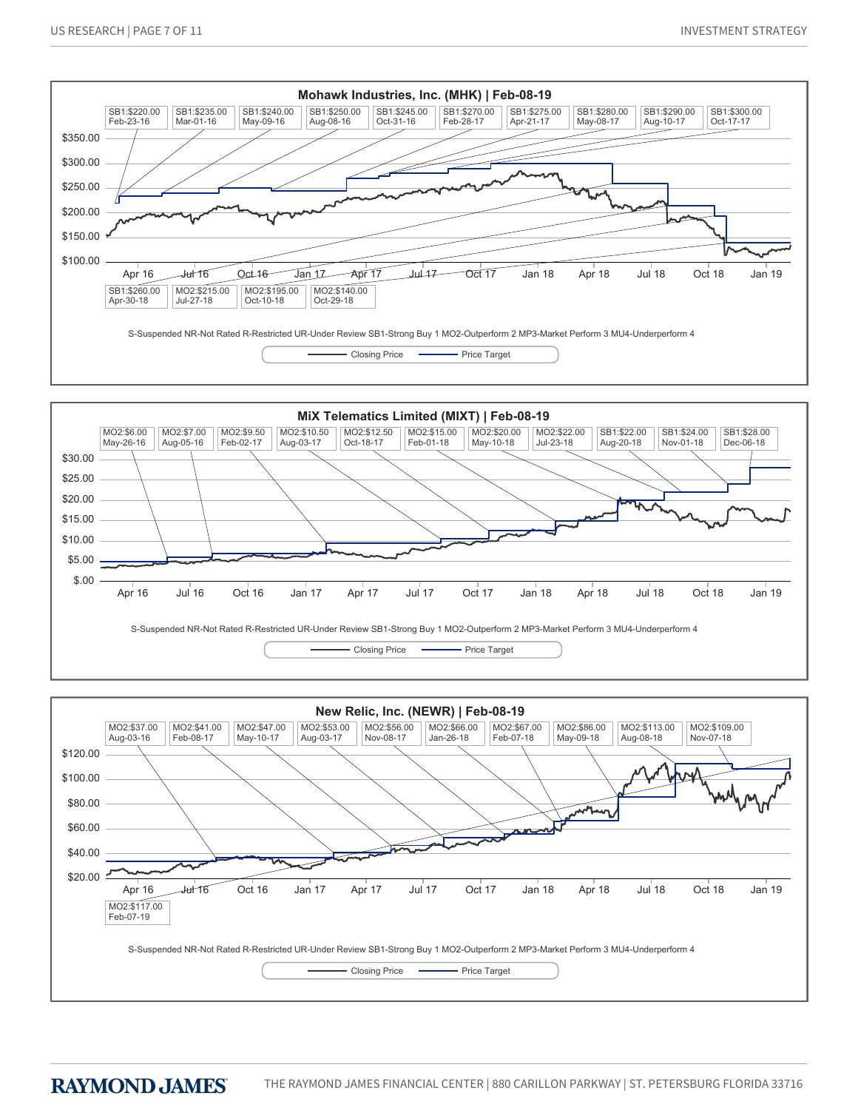



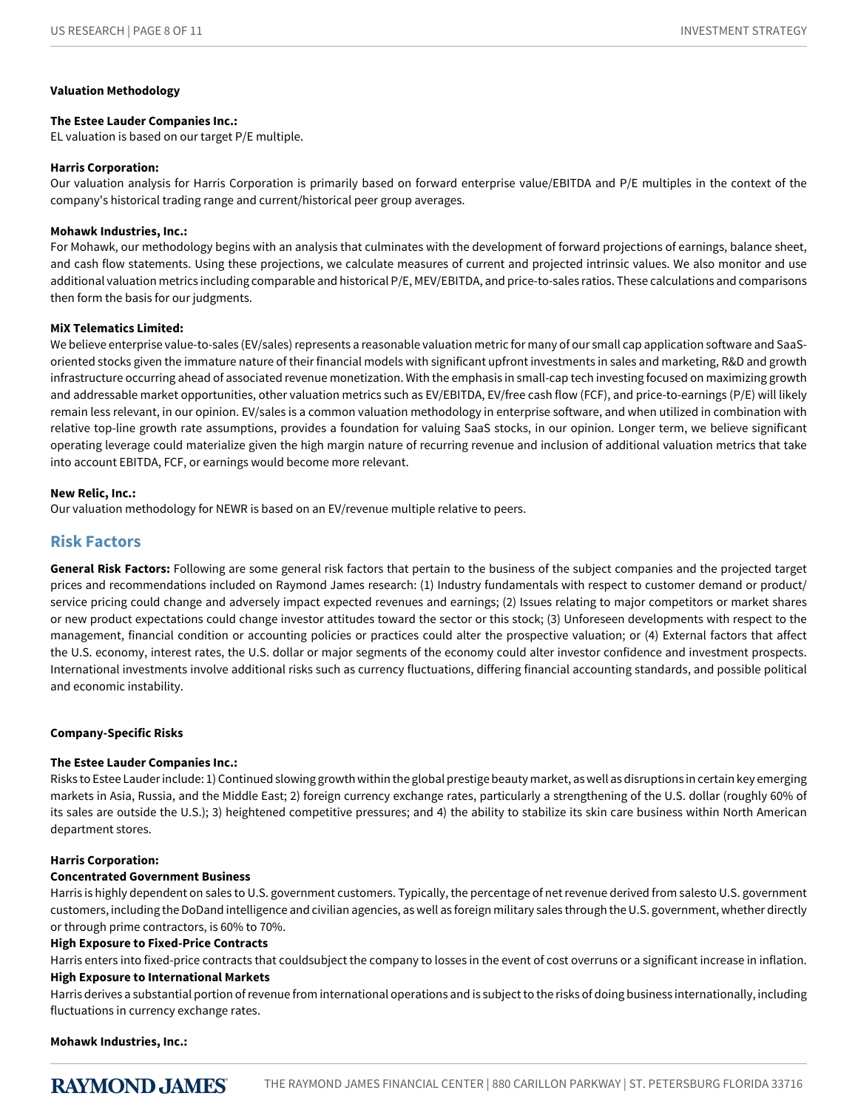#### **Valuation Methodology**

#### **The Estee Lauder Companies Inc.:**

EL valuation is based on our target P/E multiple.

#### **Harris Corporation:**

Our valuation analysis for Harris Corporation is primarily based on forward enterprise value/EBITDA and P/E multiples in the context of the company's historical trading range and current/historical peer group averages.

#### **Mohawk Industries, Inc.:**

For Mohawk, our methodology begins with an analysis that culminates with the development of forward projections of earnings, balance sheet, and cash flow statements. Using these projections, we calculate measures of current and projected intrinsic values. We also monitor and use additional valuation metrics including comparable and historical P/E, MEV/EBITDA, and price-to-sales ratios. These calculations and comparisons then form the basis for our judgments.

#### **MiX Telematics Limited:**

We believe enterprise value-to-sales (EV/sales) represents a reasonable valuation metric for many of our small cap application software and SaaSoriented stocks given the immature nature of their financial models with significant upfront investments in sales and marketing, R&D and growth infrastructure occurring ahead of associated revenue monetization. With the emphasis in small-cap tech investing focused on maximizing growth and addressable market opportunities, other valuation metrics such as EV/EBITDA, EV/free cash flow (FCF), and price-to-earnings (P/E) will likely remain less relevant, in our opinion. EV/sales is a common valuation methodology in enterprise software, and when utilized in combination with relative top-line growth rate assumptions, provides a foundation for valuing SaaS stocks, in our opinion. Longer term, we believe significant operating leverage could materialize given the high margin nature of recurring revenue and inclusion of additional valuation metrics that take into account EBITDA, FCF, or earnings would become more relevant.

#### **New Relic, Inc.:**

Our valuation methodology for NEWR is based on an EV/revenue multiple relative to peers.

## **Risk Factors**

**General Risk Factors:** Following are some general risk factors that pertain to the business of the subject companies and the projected target prices and recommendations included on Raymond James research: (1) Industry fundamentals with respect to customer demand or product/ service pricing could change and adversely impact expected revenues and earnings; (2) Issues relating to major competitors or market shares or new product expectations could change investor attitudes toward the sector or this stock; (3) Unforeseen developments with respect to the management, financial condition or accounting policies or practices could alter the prospective valuation; or (4) External factors that affect the U.S. economy, interest rates, the U.S. dollar or major segments of the economy could alter investor confidence and investment prospects. International investments involve additional risks such as currency fluctuations, differing financial accounting standards, and possible political and economic instability.

#### **Company-Specific Risks**

#### **The Estee Lauder Companies Inc.:**

Risks to Estee Lauder include: 1) Continued slowing growth within the global prestige beauty market, as well as disruptions in certain key emerging markets in Asia, Russia, and the Middle East; 2) foreign currency exchange rates, particularly a strengthening of the U.S. dollar (roughly 60% of its sales are outside the U.S.); 3) heightened competitive pressures; and 4) the ability to stabilize its skin care business within North American department stores.

#### **Harris Corporation:**

#### **Concentrated Government Business**

Harris is highly dependent on sales to U.S. government customers. Typically, the percentage of net revenue derived from salesto U.S. government customers, including the DoDand intelligence and civilian agencies, as well as foreign military sales through the U.S. government, whether directly or through prime contractors, is 60% to 70%.

#### **High Exposure to Fixed-Price Contracts**

Harris enters into fixed-price contracts that couldsubject the company to losses in the event of cost overruns or a significant increase in inflation. **High Exposure to International Markets**

#### Harris derives a substantial portion of revenue from international operations and is subject to the risks of doing business internationally, including fluctuations in currency exchange rates.

**Mohawk Industries, Inc.:**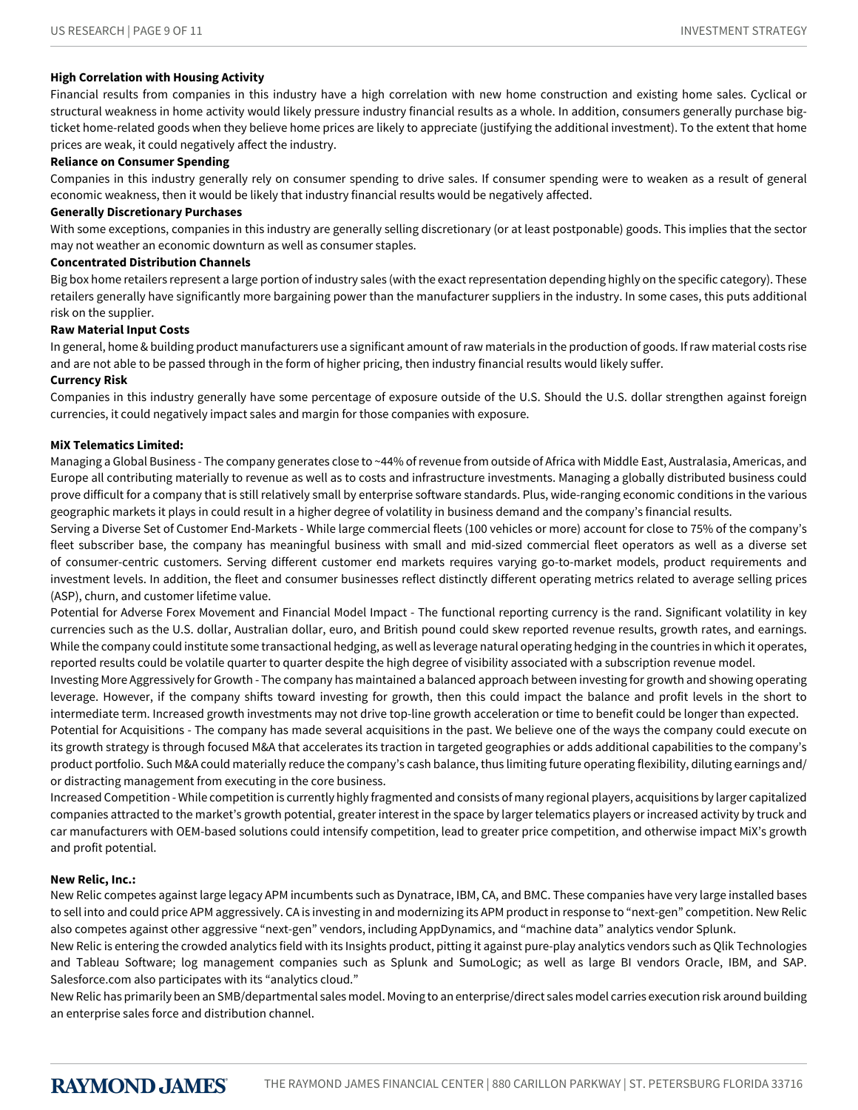#### **High Correlation with Housing Activity**

Financial results from companies in this industry have a high correlation with new home construction and existing home sales. Cyclical or structural weakness in home activity would likely pressure industry financial results as a whole. In addition, consumers generally purchase bigticket home-related goods when they believe home prices are likely to appreciate (justifying the additional investment). To the extent that home prices are weak, it could negatively affect the industry.

#### **Reliance on Consumer Spending**

Companies in this industry generally rely on consumer spending to drive sales. If consumer spending were to weaken as a result of general economic weakness, then it would be likely that industry financial results would be negatively affected.

#### **Generally Discretionary Purchases**

With some exceptions, companies in this industry are generally selling discretionary (or at least postponable) goods. This implies that the sector may not weather an economic downturn as well as consumer staples.

#### **Concentrated Distribution Channels**

Big box home retailers represent a large portion of industry sales (with the exact representation depending highly on the specific category). These retailers generally have significantly more bargaining power than the manufacturer suppliers in the industry. In some cases, this puts additional risk on the supplier.

#### **Raw Material Input Costs**

In general, home & building product manufacturers use a significant amount of raw materials in the production of goods. If raw material costs rise and are not able to be passed through in the form of higher pricing, then industry financial results would likely suffer.

#### **Currency Risk**

Companies in this industry generally have some percentage of exposure outside of the U.S. Should the U.S. dollar strengthen against foreign currencies, it could negatively impact sales and margin for those companies with exposure.

#### **MiX Telematics Limited:**

Managing a Global Business - The company generates close to ~44% of revenue from outside of Africa with Middle East, Australasia, Americas, and Europe all contributing materially to revenue as well as to costs and infrastructure investments. Managing a globally distributed business could prove difficult for a company that is still relatively small by enterprise software standards. Plus, wide-ranging economic conditions in the various geographic markets it plays in could result in a higher degree of volatility in business demand and the company's financial results.

Serving a Diverse Set of Customer End-Markets - While large commercial fleets (100 vehicles or more) account for close to 75% of the company's fleet subscriber base, the company has meaningful business with small and mid-sized commercial fleet operators as well as a diverse set of consumer-centric customers. Serving different customer end markets requires varying go-to-market models, product requirements and investment levels. In addition, the fleet and consumer businesses reflect distinctly different operating metrics related to average selling prices (ASP), churn, and customer lifetime value.

Potential for Adverse Forex Movement and Financial Model Impact - The functional reporting currency is the rand. Significant volatility in key currencies such as the U.S. dollar, Australian dollar, euro, and British pound could skew reported revenue results, growth rates, and earnings. While the company could institute some transactional hedging, as well as leverage natural operating hedging in the countries in which it operates, reported results could be volatile quarter to quarter despite the high degree of visibility associated with a subscription revenue model.

Investing More Aggressively for Growth - The company has maintained a balanced approach between investing for growth and showing operating leverage. However, if the company shifts toward investing for growth, then this could impact the balance and profit levels in the short to intermediate term. Increased growth investments may not drive top-line growth acceleration or time to benefit could be longer than expected.

Potential for Acquisitions - The company has made several acquisitions in the past. We believe one of the ways the company could execute on its growth strategy is through focused M&A that accelerates its traction in targeted geographies or adds additional capabilities to the company's product portfolio. Such M&A could materially reduce the company's cash balance, thus limiting future operating flexibility, diluting earnings and/ or distracting management from executing in the core business.

Increased Competition - While competition is currently highly fragmented and consists of many regional players, acquisitions by larger capitalized companies attracted to the market's growth potential, greater interest in the space by larger telematics players or increased activity by truck and car manufacturers with OEM-based solutions could intensify competition, lead to greater price competition, and otherwise impact MiX's growth and profit potential.

#### **New Relic, Inc.:**

New Relic competes against large legacy APM incumbents such as Dynatrace, IBM, CA, and BMC. These companies have very large installed bases to sell into and could price APM aggressively. CA is investing in and modernizing its APM product in response to "next-gen" competition. New Relic also competes against other aggressive "next-gen" vendors, including AppDynamics, and "machine data" analytics vendor Splunk.

New Relic is entering the crowded analytics field with its Insights product, pitting it against pure-play analytics vendors such as Qlik Technologies and Tableau Software; log management companies such as Splunk and SumoLogic; as well as large BI vendors Oracle, IBM, and SAP. Salesforce.com also participates with its "analytics cloud."

New Relic has primarily been an SMB/departmental sales model. Moving to an enterprise/direct sales model carries execution risk around building an enterprise sales force and distribution channel.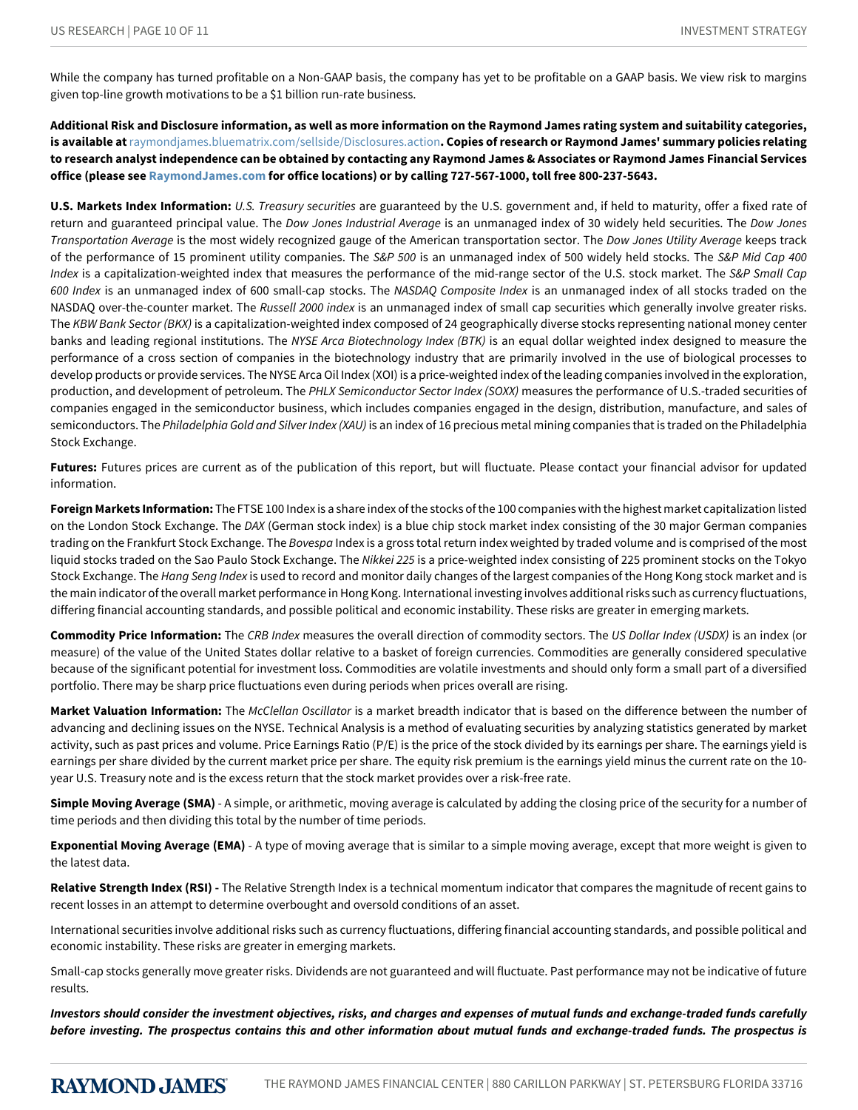While the company has turned profitable on a Non-GAAP basis, the company has yet to be profitable on a GAAP basis. We view risk to margins given top-line growth motivations to be a \$1 billion run-rate business.

**Additional Risk and Disclosure information, as well as more information on the Raymond James rating system and suitability categories, is available at**[raymondjames.bluematrix.com/sellside/Disclosures.action](https://raymondjames.bluematrix.com/sellside/Disclosures.action)**. Copies of research or Raymond James' summary policies relating to research analyst independence can be obtained by contacting any Raymond James & Associates or Raymond James Financial Services office (please see [RaymondJames.com](http://raymondjames.com) for office locations) or by calling 727-567-1000, toll free 800-237-5643.**

**U.S. Markets Index Information:** *U.S.Treasurysecurities* are guaranteed by the U.S. government and, if held to maturity, offer a fixed rate of return and guaranteed principal value. The *Dow Jones Industrial Average* is an unmanaged index of 30 widely held securities. The *Dow Jones Transportation-verage* is the most widely recognized gauge of the American transportation sector. The *DowJonesUtility-verage* keeps track of the performance of 15 prominent utility companies. The *S&P500* is an unmanaged index of 500 widely held stocks. The *S&PMidCap400* Index is a capitalization-weighted index that measures the performance of the mid-range sector of the U.S. stock market. The *S&P Small Cap* 600 Index is an unmanaged index of 600 small-cap stocks. The *NASDAQ Composite Index* is an unmanaged index of all stocks traded on the NASDAQ over-the-counter market. The Russell 2000 index is an unmanaged index of small cap securities which generally involve greater risks. The *KBWBankSector(BKX)* is a capitalization-weighted index composed of 24 geographically diverse stocks representing national money center banks and leading regional institutions. The NYSE Arca Biotechnology Index (BTK) is an equal dollar weighted index designed to measure the performance of a cross section of companies in the biotechnology industry that are primarily involved in the use of biological processes to develop products or provide services. The NYSE Arca Oil Index (XOI) is a price-weighted index of the leading companies involved in the exploration, production, and development of petroleum. The PHLX Semiconductor Sector Index (SOXX) measures the performance of U.S.-traded securities of companies engaged in the semiconductor business, which includes companies engaged in the design, distribution, manufacture, and sales of semiconductors. The *Philadelphia Gold and Silver Index (XAU)* is an index of 16 precious metal mining companies that is traded on the Philadelphia Stock Exchange.

**Futures:** Futures prices are current as of the publication of this report, but will fluctuate. Please contact your financial advisor for updated information.

**Foreign Markets Information:** The FTSE 100 Index is a share index of the stocks of the 100 companies with the highest market capitalization listed on the London Stock Exchange. The *DAX* (German stock index) is a blue chip stock market index consisting of the 30 major German companies trading on the Frankfurt Stock Exchange. The *Bovespa* Index is a gross total return index weighted by traded volume and is comprised of the most liquid stocks traded on the Sao Paulo Stock Exchange. The *Nikkei225* is a price-weighted index consisting of 225 prominent stocks on the Tokyo Stock Exchange. The *Hang Seng Index* is used to record and monitor daily changes of the largest companies of the Hong Kong stock market and is the main indicator of the overall market performance in Hong Kong. International investing involves additional risks such as currency fluctuations, differing financial accounting standards, and possible political and economic instability. These risks are greater in emerging markets.

**Commodity Price Information:** The *CRB Index* measures the overall direction of commodity sectors. The *US Dollar Index (USDX)* is an index (or measure) of the value of the United States dollar relative to a basket of foreign currencies. Commodities are generally considered speculative because of the significant potential for investment loss. Commodities are volatile investments and should only form a small part of a diversified portfolio. There may be sharp price fluctuations even during periods when prices overall are rising.

Market Valuation Information: The *McClellan Oscillator* is a market breadth indicator that is based on the difference between the number of advancing and declining issues on the NYSE. Technical Analysis is a method of evaluating securities by analyzing statistics generated by market activity, such as past prices and volume. Price Earnings Ratio (P/E) is the price of the stock divided by its earnings per share. The earnings yield is earnings per share divided by the current market price per share. The equity risk premium is the earnings yield minus the current rate on the 10 year U.S. Treasury note and is the excess return that the stock market provides over a risk-free rate.

**Simple Moving Average (SMA)** - A simple, or arithmetic, moving average is calculated by adding the closing price of the security for a number of time periods and then dividing this total by the number of time periods.

**Exponential Moving Average (EMA)** - A type of moving average that is similar to a simple moving average, except that more weight is given to the latest data.

**Relative Strength Index (RSI) -** The Relative Strength Index is a technical momentum indicator that compares the magnitude of recent gains to recent losses in an attempt to determine overbought and oversold conditions of an asset.

International securities involve additional risks such as currency fluctuations, differing financial accounting standards, and possible political and economic instability. These risks are greater in emerging markets.

Small-cap stocks generally move greater risks. Dividends are not guaranteed and will fluctuate. Past performance may not be indicative of future results.

*Investors should consider the investment objectives, risks, and charges and expenses of mutual funds and exchange-traded funds carefully before investing. The prospectus contains this and other information about mutual funds and exchange-traded funds. The prospectus is*